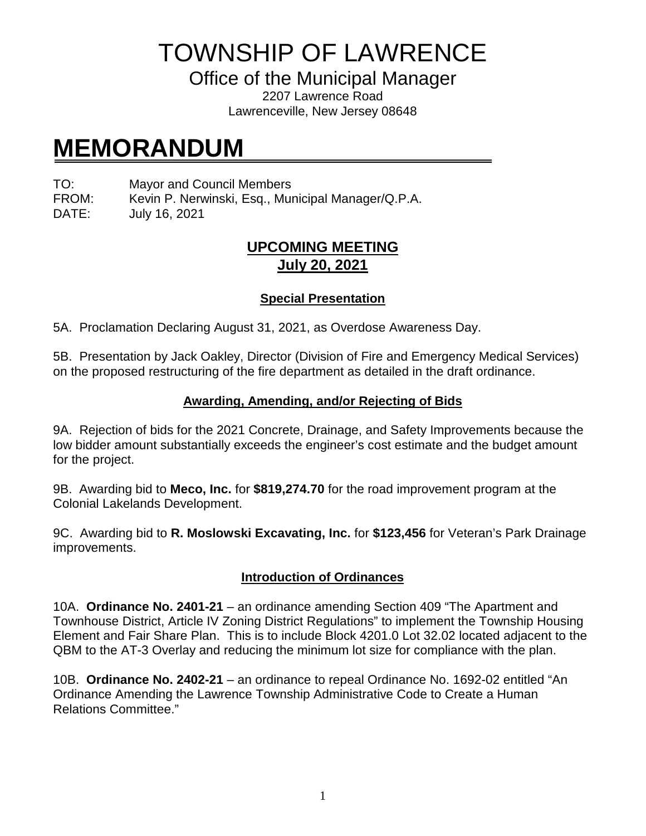TOWNSHIP OF LAWRENCE

Office of the Municipal Manager

2207 Lawrence Road Lawrenceville, New Jersey 08648

# **MEMORANDUM**

TO: Mayor and Council Members

FROM: Kevin P. Nerwinski, Esq., Municipal Manager/Q.P.A.

DATE: July 16, 2021

# **UPCOMING MEETING July 20, 2021**

# **Special Presentation**

5A. Proclamation Declaring August 31, 2021, as Overdose Awareness Day.

5B. Presentation by Jack Oakley, Director (Division of Fire and Emergency Medical Services) on the proposed restructuring of the fire department as detailed in the draft ordinance.

#### **Awarding, Amending, and/or Rejecting of Bids**

9A. Rejection of bids for the 2021 Concrete, Drainage, and Safety Improvements because the low bidder amount substantially exceeds the engineer's cost estimate and the budget amount for the project.

9B. Awarding bid to **Meco, Inc.** for **\$819,274.70** for the road improvement program at the Colonial Lakelands Development.

9C. Awarding bid to **R. Moslowski Excavating, Inc.** for **\$123,456** for Veteran's Park Drainage improvements.

## **Introduction of Ordinances**

10A. **Ordinance No. 2401-21** – an ordinance amending Section 409 "The Apartment and Townhouse District, Article IV Zoning District Regulations" to implement the Township Housing Element and Fair Share Plan. This is to include Block 4201.0 Lot 32.02 located adjacent to the QBM to the AT-3 Overlay and reducing the minimum lot size for compliance with the plan.

10B. **Ordinance No. 2402-21** – an ordinance to repeal Ordinance No. 1692-02 entitled "An Ordinance Amending the Lawrence Township Administrative Code to Create a Human Relations Committee."